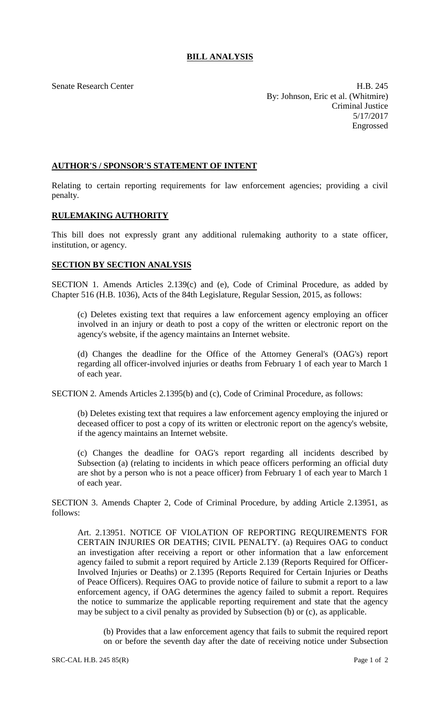## **BILL ANALYSIS**

Senate Research Center **H.B. 245** By: Johnson, Eric et al. (Whitmire) Criminal Justice 5/17/2017 Engrossed

## **AUTHOR'S / SPONSOR'S STATEMENT OF INTENT**

Relating to certain reporting requirements for law enforcement agencies; providing a civil penalty.

## **RULEMAKING AUTHORITY**

This bill does not expressly grant any additional rulemaking authority to a state officer, institution, or agency.

## **SECTION BY SECTION ANALYSIS**

SECTION 1. Amends Articles 2.139(c) and (e), Code of Criminal Procedure, as added by Chapter 516 (H.B. 1036), Acts of the 84th Legislature, Regular Session, 2015, as follows:

(c) Deletes existing text that requires a law enforcement agency employing an officer involved in an injury or death to post a copy of the written or electronic report on the agency's website, if the agency maintains an Internet website.

(d) Changes the deadline for the Office of the Attorney General's (OAG's) report regarding all officer-involved injuries or deaths from February 1 of each year to March 1 of each year.

SECTION 2. Amends Articles 2.1395(b) and (c), Code of Criminal Procedure, as follows:

(b) Deletes existing text that requires a law enforcement agency employing the injured or deceased officer to post a copy of its written or electronic report on the agency's website, if the agency maintains an Internet website.

(c) Changes the deadline for OAG's report regarding all incidents described by Subsection (a) (relating to incidents in which peace officers performing an official duty are shot by a person who is not a peace officer) from February 1 of each year to March 1 of each year.

SECTION 3. Amends Chapter 2, Code of Criminal Procedure, by adding Article 2.13951, as follows:

Art. 2.13951. NOTICE OF VIOLATION OF REPORTING REQUIREMENTS FOR CERTAIN INJURIES OR DEATHS; CIVIL PENALTY. (a) Requires OAG to conduct an investigation after receiving a report or other information that a law enforcement agency failed to submit a report required by Article 2.139 (Reports Required for Officer-Involved Injuries or Deaths) or 2.1395 (Reports Required for Certain Injuries or Deaths of Peace Officers). Requires OAG to provide notice of failure to submit a report to a law enforcement agency, if OAG determines the agency failed to submit a report. Requires the notice to summarize the applicable reporting requirement and state that the agency may be subject to a civil penalty as provided by Subsection (b) or (c), as applicable.

(b) Provides that a law enforcement agency that fails to submit the required report on or before the seventh day after the date of receiving notice under Subsection